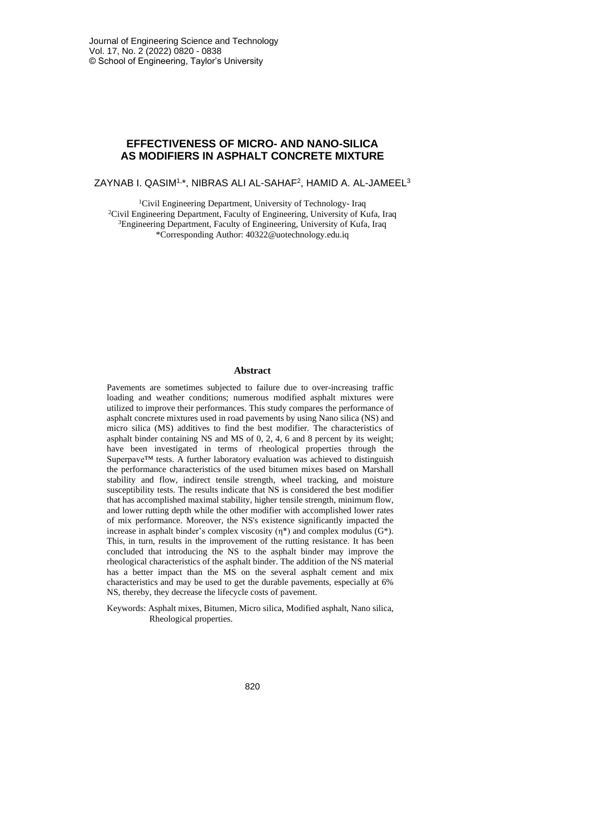# **EFFECTIVENESS OF MICRO- AND NANO-SILICA AS MODIFIERS IN ASPHALT CONCRETE MIXTURE**

ZAYNAB I. QASIM1,\*, NIBRAS ALI AL-SAHAF<sup>2</sup>, HAMID A. AL-JAMEEL<sup>3</sup>

<sup>1</sup>Civil Engineering Department, University of Technology- Iraq <sup>2</sup>Civil Engineering Department, Faculty of Engineering, University of Kufa, Iraq <sup>3</sup>Engineering Department, Faculty of Engineering, University of Kufa, Iraq \*Corresponding Author: [40322@uotechnology.edu.iq](mailto:40322@uotechnology.edu.iq)

#### **Abstract**

Pavements are sometimes subjected to failure due to over-increasing traffic loading and weather conditions; numerous modified asphalt mixtures were utilized to improve their performances. This study compares the performance of asphalt concrete mixtures used in road pavements by using Nano silica (NS) and micro silica (MS) additives to find the best modifier. The characteristics of asphalt binder containing NS and MS of 0, 2, 4, 6 and 8 percent by its weight; have been investigated in terms of rheological properties through the Superpave™ tests. A further laboratory evaluation was achieved to distinguish the performance characteristics of the used bitumen mixes based on Marshall stability and flow, indirect tensile strength, wheel tracking, and moisture susceptibility tests. The results indicate that NS is considered the best modifier that has accomplished maximal stability, higher tensile strength, minimum flow, and lower rutting depth while the other modifier with accomplished lower rates of mix performance. Moreover, the NS's existence significantly impacted the increase in asphalt binder's complex viscosity  $(\eta^*)$  and complex modulus (G<sup>\*</sup>). This, in turn, results in the improvement of the rutting resistance. It has been concluded that introducing the NS to the asphalt binder may improve the rheological characteristics of the asphalt binder. The addition of the NS material has a better impact than the MS on the several asphalt cement and mix characteristics and may be used to get the durable pavements, especially at 6% NS, thereby, they decrease the lifecycle costs of pavement.

Keywords: Asphalt mixes, Bitumen, Micro silica, Modified asphalt, Nano silica, [Rheological](https://www.tandfonline.com/keyword/Rheological+Properties) properties.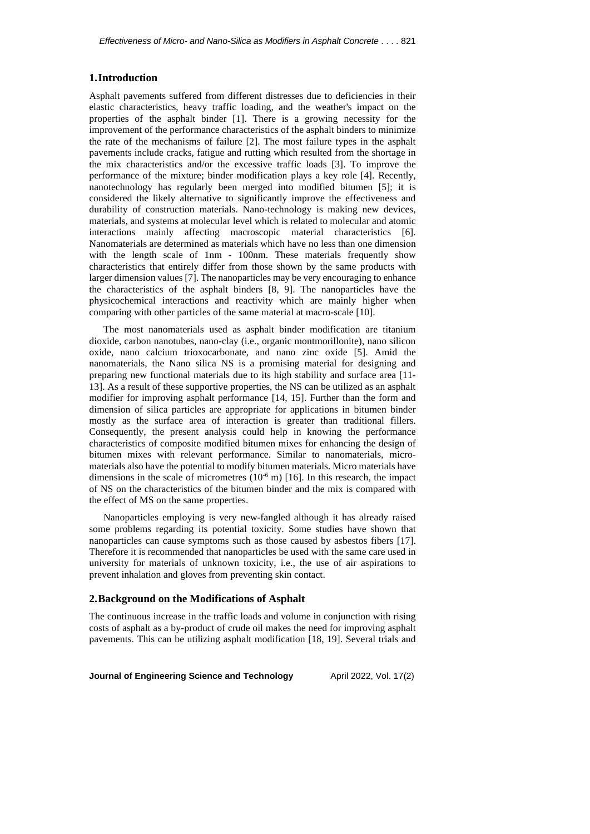### **1.Introduction**

Asphalt pavements suffered from different distresses due to deficiencies in their elastic characteristics, heavy traffic loading, and the weather's impact on the properties of the asphalt binder [1]. There is a growing necessity for the improvement of the performance characteristics of the asphalt binders to minimize the rate of the mechanisms of failure [2]. The most failure types in the asphalt pavements include cracks, fatigue and rutting which resulted from the shortage in the mix characteristics and/or the excessive traffic loads [3]. To improve the performance of the mixture; binder modification plays a key role [4]. Recently, nanotechnology has regularly been merged into modified bitumen [5]; it is considered the likely alternative to significantly improve the effectiveness and durability of construction materials. Nano-technology is making new devices, materials, and systems at molecular level which is related to molecular and atomic interactions mainly affecting macroscopic material characteristics [6]. Nanomaterials are determined as materials which have no less than one dimension with the length scale of 1nm - 100nm. These materials frequently show characteristics that entirely differ from those shown by the same products with larger dimension values [7]. The nanoparticles may be very encouraging to enhance the characteristics of the asphalt binders [8, 9]. The nanoparticles have the physicochemical interactions and reactivity which are mainly higher when comparing with other particles of the same material at macro-scale [10].

The most nanomaterials used as asphalt binder modification are titanium dioxide, carbon nanotubes, nano-clay (i.e., organic montmorillonite), nano silicon oxide, nano calcium trioxocarbonate, and nano zinc oxide [5]. Amid the nanomaterials, the Nano silica NS is a promising material for designing and preparing new functional materials due to its high stability and surface area [11- 13]. As a result of these supportive properties, the NS can be utilized as an asphalt modifier for improving asphalt performance [14, 15]. Further than the form and dimension of silica particles are appropriate for applications in bitumen binder mostly as the surface area of interaction is greater than traditional fillers. Consequently, the present analysis could help in knowing the performance characteristics of composite modified bitumen mixes for enhancing the design of bitumen mixes with relevant performance. Similar to nanomaterials, micromaterials also have the potential to modify bitumen materials. Micro materials have dimensions in the scale of micrometres  $(10^{-6} \text{ m})$  [16]. In this research, the impact of NS on the characteristics of the bitumen binder and the mix is compared with the effect of MS on the same properties.

Nanoparticles employing is very new-fangled although it has already raised some problems regarding its potential toxicity. Some studies have shown that nanoparticles can cause symptoms such as those caused by asbestos fibers [17]. Therefore it is recommended that nanoparticles be used with the same care used in university for materials of unknown toxicity, i.e., the use of air aspirations to prevent inhalation and gloves from preventing skin contact.

### **2.Background on the Modifications of Asphalt**

The continuous increase in the traffic loads and volume in conjunction with rising costs of asphalt as a by-product of crude oil makes the need for improving asphalt pavements. This can be utilizing asphalt modification [18, 19]. Several trials and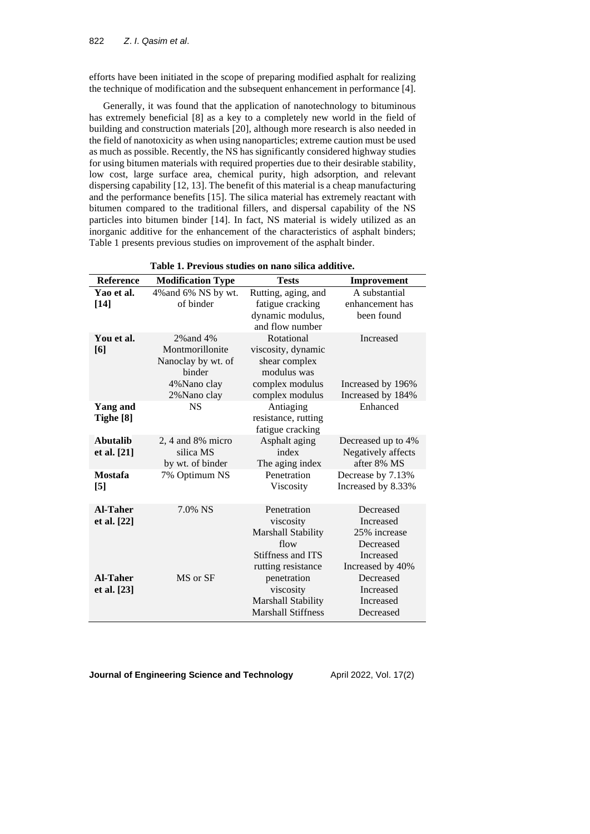efforts have been initiated in the scope of preparing modified asphalt for realizing the technique of modification and the subsequent enhancement in performance [4].

Generally, it was found that the application of nanotechnology to bituminous has extremely beneficial [8] as a key to a completely new world in the field of building and construction materials [20], although more research is also needed in the field of nanotoxicity as when using nanoparticles; extreme caution must be used as much as possible. Recently, the NS has significantly considered highway studies for using bitumen materials with required properties due to their desirable stability, low cost, large surface area, chemical purity, high adsorption, and relevant dispersing capability [12, 13]. The benefit of this material is a cheap manufacturing and the performance benefits [15]. The silica material has extremely reactant with bitumen compared to the traditional fillers, and dispersal capability of the NS particles into bitumen binder [14]. In fact, NS material is widely utilized as an inorganic additive for the enhancement of the characteristics of asphalt binders; Table 1 presents previous studies on improvement of the asphalt binder.

| <b>Reference</b>                      | <b>Modification Type</b>                                | <b>Tests</b>                                         | Improvement                                             |
|---------------------------------------|---------------------------------------------------------|------------------------------------------------------|---------------------------------------------------------|
| Yao et al.                            | 4% and 6% NS by wt.                                     | Rutting, aging, and                                  | A substantial                                           |
| $[14]$                                | of binder                                               | fatigue cracking                                     | enhancement has                                         |
|                                       |                                                         | dynamic modulus,<br>and flow number                  | been found                                              |
| You et al.<br>[6]                     | 2% and 4%<br>Montmorillonite                            | Rotational<br>viscosity, dynamic                     | Increased                                               |
|                                       | Nanoclay by wt. of<br>binder                            | shear complex<br>modulus was                         |                                                         |
|                                       | 4% Nano clay<br>2% Nano clay                            | complex modulus<br>complex modulus                   | Increased by 196%<br>Increased by 184%                  |
| <b>Yang and</b><br>Tighe [8]          | <b>NS</b>                                               | Antiaging<br>resistance, rutting<br>fatigue cracking | Enhanced                                                |
| <b>Abutalib</b><br>et al. [21]        | $2, 4$ and $8\%$ micro<br>silica MS<br>by wt. of binder | Asphalt aging<br>index<br>The aging index            | Decreased up to 4%<br>Negatively affects<br>after 8% MS |
| <b>Mostafa</b><br>$\lbrack 5 \rbrack$ | 7% Optimum NS                                           | Penetration<br>Viscosity                             | Decrease by 7.13%<br>Increased by 8.33%                 |
| <b>Al-Taher</b>                       | 7.0% NS                                                 | Penetration                                          | Decreased                                               |
| et al. [22]                           |                                                         | viscosity                                            | Increased                                               |
|                                       |                                                         | Marshall Stability                                   | 25% increase                                            |
|                                       |                                                         | flow                                                 | Decreased                                               |
|                                       |                                                         | Stiffness and ITS                                    | Increased                                               |
| <b>Al-Taher</b>                       | MS or SF                                                | rutting resistance<br>penetration                    | Increased by 40%<br>Decreased                           |
| et al. [23]                           |                                                         | viscosity                                            | Increased                                               |
|                                       |                                                         | Marshall Stability                                   | Increased                                               |
|                                       |                                                         | <b>Marshall Stiffness</b>                            | Decreased                                               |

**Table 1. Previous studies on nano silica additive.**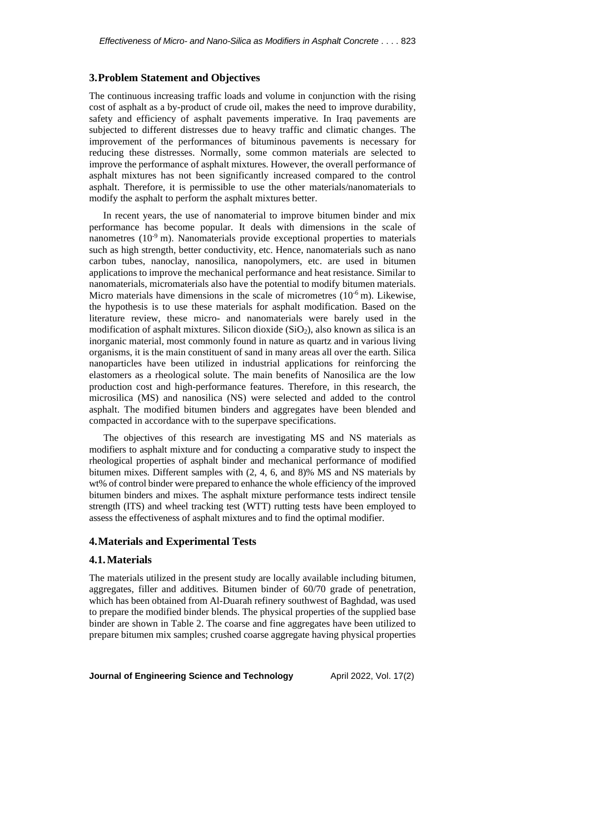### **3.Problem Statement and Objectives**

The continuous increasing traffic loads and volume in conjunction with the rising cost of asphalt as a by-product of crude oil, makes the need to improve durability, safety and efficiency of asphalt pavements imperative. In Iraq pavements are subjected to different distresses due to heavy traffic and climatic changes. The improvement of the performances of bituminous pavements is necessary for reducing these distresses. Normally, some common materials are selected to improve the performance of asphalt mixtures. However, the overall performance of asphalt mixtures has not been significantly increased compared to the control asphalt. Therefore, it is permissible to use the other materials/nanomaterials to modify the asphalt to perform the asphalt mixtures better.

In recent years, the use of nanomaterial to improve bitumen binder and mix performance has become popular. It deals with dimensions in the scale of nanometres  $(10^{-9} \text{ m})$ . Nanomaterials provide exceptional properties to materials such as high strength, better conductivity, etc. Hence, nanomaterials such as nano carbon tubes, nanoclay, nanosilica, nanopolymers, etc. are used in bitumen applications to improve the mechanical performance and heat resistance. Similar to nanomaterials, micromaterials also have the potential to modify bitumen materials. Micro materials have dimensions in the scale of micrometres  $(10^{-6} \text{ m})$ . Likewise, the hypothesis is to use these materials for asphalt modification. Based on the literature review, these micro- and nanomaterials were barely used in the modification of asphalt mixtures. Silicon dioxide  $(SiO<sub>2</sub>)$ , also known as silica is an inorganic material, most commonly found in nature as quartz and in various living organisms, it is the main constituent of sand in many areas all over the earth. Silica nanoparticles have been utilized in industrial applications for reinforcing the elastomers as a rheological solute. The main benefits of Nanosilica are the low production cost and high-performance features. Therefore, in this research, the microsilica (MS) and nanosilica (NS) were selected and added to the control asphalt. The modified bitumen binders and aggregates have been blended and compacted in accordance with to the superpave specifications.

The objectives of this research are investigating MS and NS materials as modifiers to asphalt mixture and for conducting a comparative study to inspect the rheological properties of asphalt binder and mechanical performance of modified bitumen mixes. Different samples with (2, 4, 6, and 8)% MS and NS materials by wt% of control binder were prepared to enhance the whole efficiency of the improved bitumen binders and mixes. The asphalt mixture performance tests indirect tensile strength (ITS) and wheel tracking test (WTT) rutting tests have been employed to assess the effectiveness of asphalt mixtures and to find the optimal modifier.

### **4.Materials and Experimental Tests**

### **4.1.Materials**

The materials utilized in the present study are locally available including bitumen, aggregates, filler and additives. Bitumen binder of 60/70 grade of penetration, which has been obtained from Al-Duarah refinery southwest of Baghdad, was used to prepare the modified binder blends. The physical properties of the supplied base binder are shown in Table 2. The coarse and fine aggregates have been utilized to prepare bitumen mix samples; crushed coarse aggregate having physical properties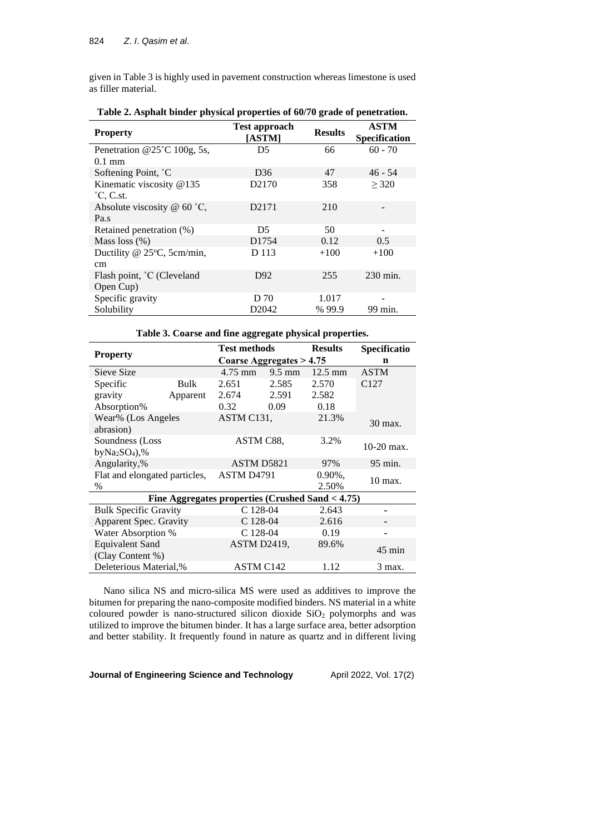given in Table 3 is highly used in pavement construction whereas limestone is used as filler material.

| <b>Property</b>               | <b>Test approach</b><br>[ASTM] | <b>Results</b> | <b>ASTM</b><br><b>Specification</b> |
|-------------------------------|--------------------------------|----------------|-------------------------------------|
| Penetration @25°C 100g, 5s,   | D5                             | 66             | $60 - 70$                           |
| $0.1 \text{ mm}$              |                                |                |                                     |
| Softening Point, °C           | D <sub>36</sub>                | 47             | $46 - 54$                           |
| Kinematic viscosity @135      | D <sub>2170</sub>              | 358            | $\geq$ 320                          |
| $^{\circ}$ C, C.st.           |                                |                |                                     |
| Absolute viscosity $@$ 60 °C, | D <sub>2171</sub>              | 210            |                                     |
| Pa.s                          |                                |                |                                     |
| Retained penetration (%)      | D <sub>5</sub>                 | 50             |                                     |
| Mass loss $(\% )$             | D <sub>1754</sub>              | 0.12           | 0.5                                 |
| Ductility @ 25°C, 5cm/min,    | D 113                          | $+100$         | $+100$                              |
| cm                            |                                |                |                                     |
| Flash point, °C (Cleveland    | D <sub>92</sub>                | 255            | 230 min.                            |
| Open Cup)                     |                                |                |                                     |
| Specific gravity              | D 70                           | 1.017          |                                     |
| Solubility                    | D2042                          | % 99.9         | 99 min.                             |

**Table 2. Asphalt binder physical properties of 60/70 grade of penetration.**

|  | Table 3. Coarse and fine aggregate physical properties. |  |
|--|---------------------------------------------------------|--|
|  |                                                         |  |

| <b>Property</b>               |                                                  | <b>Test methods</b>        |                  | <b>Results</b>    | <b>Specificatio</b> |
|-------------------------------|--------------------------------------------------|----------------------------|------------------|-------------------|---------------------|
|                               |                                                  | Coarse Aggregates $> 4.75$ |                  |                   | n                   |
| Sieve Size                    |                                                  | $4.75 \text{ mm}$          | $9.5 \text{ mm}$ | $12.5 \text{ mm}$ | <b>ASTM</b>         |
| Specific                      | <b>Bulk</b>                                      | 2.651                      | 2.585            | 2.570             | C <sub>127</sub>    |
| gravity                       | Apparent                                         | 2.674                      | 2.591            | 2.582             |                     |
| Absorption%                   |                                                  | 0.32                       | 0.09             | 0.18              |                     |
| Wear% (Los Angeles            |                                                  | ASTM C131,                 |                  | 21.3%             | 30 max.             |
| abrasion)                     |                                                  |                            |                  |                   |                     |
| Soundness (Loss)              |                                                  | ASTM C88.                  |                  | 3.2%              | $10-20$ max.        |
| $byNa2SO4$ ,%                 |                                                  |                            |                  |                   |                     |
| Angularity,%                  |                                                  | ASTM D5821                 |                  | 97%               | 95 min.             |
| Flat and elongated particles, |                                                  | ASTM D <sub>4791</sub>     |                  | $0.90\%$ .        | 10 max.             |
| $\%$                          |                                                  |                            |                  | 2.50%             |                     |
|                               | Fine Aggregates properties (Crushed Sand < 4.75) |                            |                  |                   |                     |
| <b>Bulk Specific Gravity</b>  |                                                  | $C$ 128-04                 |                  | 2.643             |                     |
| Apparent Spec. Gravity        |                                                  | C 128-04                   |                  | 2.616             |                     |
| Water Absorption %            |                                                  | $C$ 128-04                 |                  | 0.19              |                     |
| <b>Equivalent Sand</b>        |                                                  | <b>ASTM D2419.</b>         |                  | 89.6%             |                     |
| (Clay Content %)              |                                                  |                            |                  |                   | $45 \text{ min}$    |
| Deleterious Material,%        |                                                  | <b>ASTM C142</b>           |                  | 1.12              | 3 max.              |

Nano silica NS and micro-silica MS were used as additives to improve the bitumen for preparing the nano-composite modified binders. NS material in a white coloured powder is nano-structured silicon dioxide SiO<sub>2</sub> polymorphs and was utilized to improve the bitumen binder. It has a large surface area, better adsorption and better stability. It frequently found in nature as quartz and in different living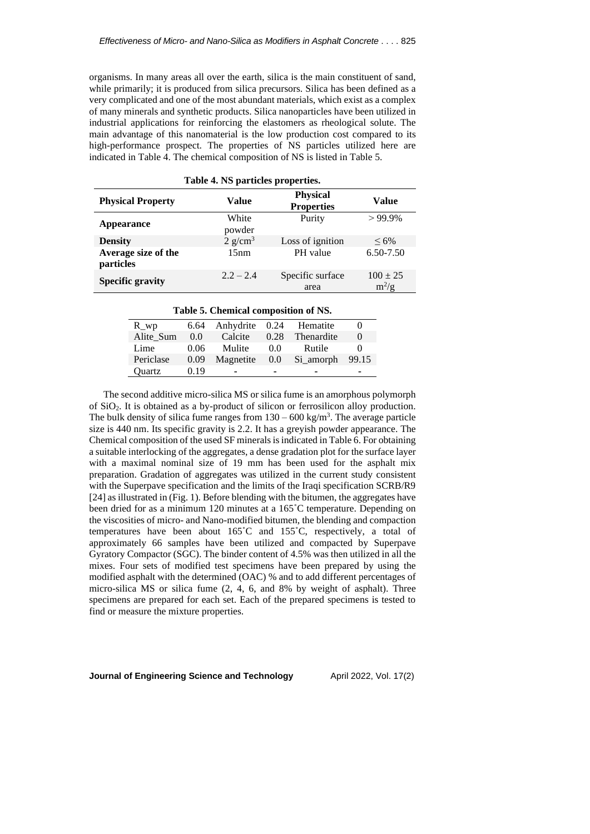organisms. In many areas all over the earth, silica is the main constituent of sand, while primarily; it is produced from silica precursors. Silica has been defined as a very complicated and one of the most abundant materials, which exist as a complex of many minerals and synthetic products. Silica nanoparticles have been utilized in industrial applications for reinforcing the elastomers as rheological solute. The main advantage of this nanomaterial is the low production cost compared to its high-performance prospect. The properties of NS particles utilized here are indicated in Table 4. The chemical composition of NS is listed in Table 5.

|                                  | Table 4. NS particles properties. |                                      |                         |
|----------------------------------|-----------------------------------|--------------------------------------|-------------------------|
| <b>Physical Property</b>         | Value                             | <b>Physical</b><br><b>Properties</b> | Value                   |
| Appearance                       | White<br>powder                   | Purity                               | $>99.9\%$               |
| <b>Density</b>                   | $2$ g/cm <sup>3</sup>             | Loss of ignition                     | $< 6\%$                 |
| Average size of the<br>particles | 15nm                              | PH value                             | 6.50-7.50               |
| <b>Specific gravity</b>          | $2.2 - 2.4$                       | Specific surface<br>area             | $100 \pm 25$<br>$m^2/g$ |

#### **Table 5. Chemical composition of NS.**

| R wp      | 6.64 | Anhydrite 0.24 |      | Hematite   |          |
|-----------|------|----------------|------|------------|----------|
| Alite Sum | 0.0  | Calcite        | 0.28 | Thenardite | $\theta$ |
| Lime      | 0.06 | Mulite         | 0.0  | Rutile     |          |
| Periclase | 0.09 | Magnetite      | 0.0  | Si amorph  | 99.15    |
| Ouartz    | 0.19 |                |      |            |          |
|           |      |                |      |            |          |

The second additive micro-silica MS or silica fume is an amorphous polymorph of SiO2. It is obtained as a by-product of silicon or ferrosilicon alloy production. The bulk density of silica fume ranges from  $130 - 600 \text{ kg/m}^3$ . The average particle size is 440 nm. Its specific gravity is 2.2. It has a greyish powder appearance. The Chemical composition of the used SF minerals is indicated in Table 6. For obtaining a suitable interlocking of the aggregates, a dense gradation plot for the surface layer with a maximal nominal size of 19 mm has been used for the asphalt mix preparation. Gradation of aggregates was utilized in the current study consistent with the Superpave specification and the limits of the Iraqi specification SCRB/R9 [24] as illustrated in (Fig. 1). Before blending with the bitumen, the aggregates have been dried for as a minimum 120 minutes at a 165˚C temperature. Depending on the viscosities of micro- and Nano-modified bitumen, the blending and compaction temperatures have been about 165˚C and 155˚C, respectively, a total of approximately 66 samples have been utilized and compacted by Superpave Gyratory Compactor (SGC). The binder content of 4.5% was then utilized in all the mixes. Four sets of modified test specimens have been prepared by using the modified asphalt with the determined (OAC) % and to add different percentages of micro-silica MS or silica fume (2, 4, 6, and 8% by weight of asphalt). Three specimens are prepared for each set. Each of the prepared specimens is tested to find or measure the mixture properties.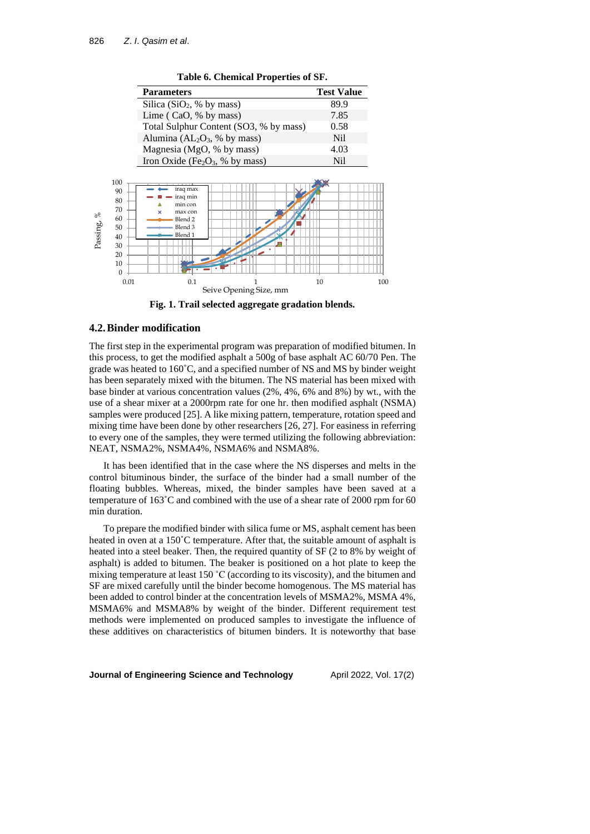| <b>Parameters</b><br>Silica ( $SiO2$ , % by mass)<br>Lime ( $CaO$ , % by mass)<br>Total Sulphur Content (SO3, % by mass)<br>Alumina ( $AL_2O_3$ , % by mass)<br>Magnesia (MgO, % by mass)<br>Iron Oxide (Fe <sub>2</sub> O <sub>3</sub> , % by mass) | <b>Test Value</b><br>89.9<br>7.85<br>0.58<br>Nil<br>4.03<br><b>Nil</b> |
|------------------------------------------------------------------------------------------------------------------------------------------------------------------------------------------------------------------------------------------------------|------------------------------------------------------------------------|
|                                                                                                                                                                                                                                                      |                                                                        |
|                                                                                                                                                                                                                                                      |                                                                        |
|                                                                                                                                                                                                                                                      |                                                                        |
|                                                                                                                                                                                                                                                      |                                                                        |
|                                                                                                                                                                                                                                                      |                                                                        |
|                                                                                                                                                                                                                                                      |                                                                        |
|                                                                                                                                                                                                                                                      |                                                                        |
| iraq max<br>iraq min<br>min con<br>max con<br>Blend <sub>2</sub><br>Blend <sub>3</sub><br>Blend 1<br>0.1                                                                                                                                             | 10                                                                     |
|                                                                                                                                                                                                                                                      | Seive Opening Size, mm                                                 |

**Table 6. Chemical Properties of SF.**

**Fig. 1. Trail selected aggregate gradation blends.**

### **4.2.Binder modification**

The first step in the experimental program was preparation of modified bitumen. In this process, to get the modified asphalt a 500g of base asphalt AC 60/70 Pen. The grade was heated to 160˚C, and a specified number of NS and MS by binder weight has been separately mixed with the bitumen. The NS material has been mixed with base binder at various concentration values (2%, 4%, 6% and 8%) by wt., with the use of a shear mixer at a 2000rpm rate for one hr. then modified asphalt (NSMA) samples were produced [25]. A like mixing pattern, temperature, rotation speed and mixing time have been done by other researchers [26, 27]. For easiness in referring to every one of the samples, they were termed utilizing the following abbreviation: NEAT, NSMA2%, NSMA4%, NSMA6% and NSMA8%.

It has been identified that in the case where the NS disperses and melts in the control bituminous binder, the surface of the binder had a small number of the floating bubbles. Whereas, mixed, the binder samples have been saved at a temperature of 163˚C and combined with the use of a shear rate of 2000 rpm for 60 min duration.

To prepare the modified binder with silica fume or MS, asphalt cement has been heated in oven at a 150˚C temperature. After that, the suitable amount of asphalt is heated into a steel beaker. Then, the required quantity of SF (2 to 8% by weight of asphalt) is added to bitumen. The beaker is positioned on a hot plate to keep the mixing temperature at least 150 ˚C (according to its viscosity), and the bitumen and SF are mixed carefully until the binder become homogenous. The MS material has been added to control binder at the concentration levels of MSMA2%, MSMA 4%, MSMA6% and MSMA8% by weight of the binder. Different requirement test methods were implemented on produced samples to investigate the influence of these additives on characteristics of bitumen binders. It is [noteworthy](https://www.powerthesaurus.org/it_is_noteworthy_that/synonyms) that base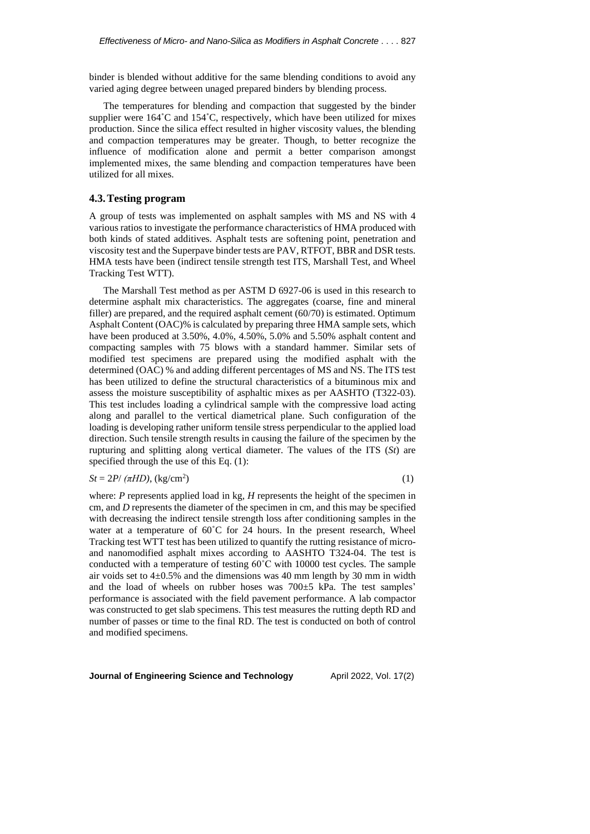binder is blended without additive for the same blending conditions to avoid any varied aging degree between unaged prepared binders by blending process.

The temperatures for blending and compaction that suggested by the binder supplier were  $164^{\circ}$ C and  $154^{\circ}$ C, respectively, which have been utilized for mixes production. Since the silica effect resulted in higher viscosity values, the blending and compaction temperatures may be greater. Though, to better recognize the influence of modification alone and permit a better comparison amongst implemented mixes, the same blending and compaction temperatures have been utilized for all mixes.

### **4.3.Testing program**

A group of tests was implemented on asphalt samples with MS and NS with 4 various ratios to investigate the performance characteristics of HMA produced with both kinds of stated additives. Asphalt tests are softening point, penetration and viscosity test and the Superpave binder tests are PAV, RTFOT, BBR and DSR tests. HMA tests have been (indirect tensile strength test ITS, Marshall Test, and Wheel Tracking Test WTT).

The Marshall Test method as per ASTM D 6927-06 is used in this research to determine asphalt mix characteristics. The aggregates (coarse, fine and mineral filler) are prepared, and the required asphalt cement (60/70) is estimated. Optimum Asphalt Content (OAC)% is calculated by preparing three HMA sample sets, which have been produced at  $3.50\%, 4.0\%, 4.50\%, 5.0\%$  and  $5.50\%$  asphalt content and compacting samples with 75 blows with a standard hammer. Similar sets of modified test specimens are prepared using the modified asphalt with the determined (OAC) % and adding different percentages of MS and NS. The ITS test has been utilized to define the structural characteristics of a bituminous mix and assess the moisture susceptibility of asphaltic mixes as per AASHTO (T322-03). This test includes loading a cylindrical sample with the compressive load acting along and parallel to the vertical diametrical plane. Such configuration of the loading is developing rather uniform tensile stress perpendicular to the applied load direction. Such tensile strength results in causing the failure of the specimen by the rupturing and splitting along vertical diameter. The values of the ITS (*St*) are specified through the use of this Eq. (1):

$$
St = 2P/(\pi HD), \, (\text{kg/cm}^2)
$$
 (1)

where: *P* represents applied load in kg, *H* represents the height of the specimen in cm, and *D* represents the diameter of the specimen in cm, and this may be specified with decreasing the indirect tensile strength loss after conditioning samples in the water at a temperature of 60°C for 24 hours. In the present research, Wheel Tracking test WTT test has been utilized to quantify the rutting resistance of microand nanomodified asphalt mixes according to AASHTO T324-04. The test is conducted with a temperature of testing 60˚C with 10000 test cycles. The sample air voids set to  $4\pm0.5\%$  and the dimensions was 40 mm length by 30 mm in width and the load of wheels on rubber hoses was 700±5 kPa. The test samples' performance is associated with the field pavement performance. A lab compactor was constructed to get slab specimens. This test measures the rutting depth RD and number of passes or time to the final RD. The test is conducted on both of control and modified specimens.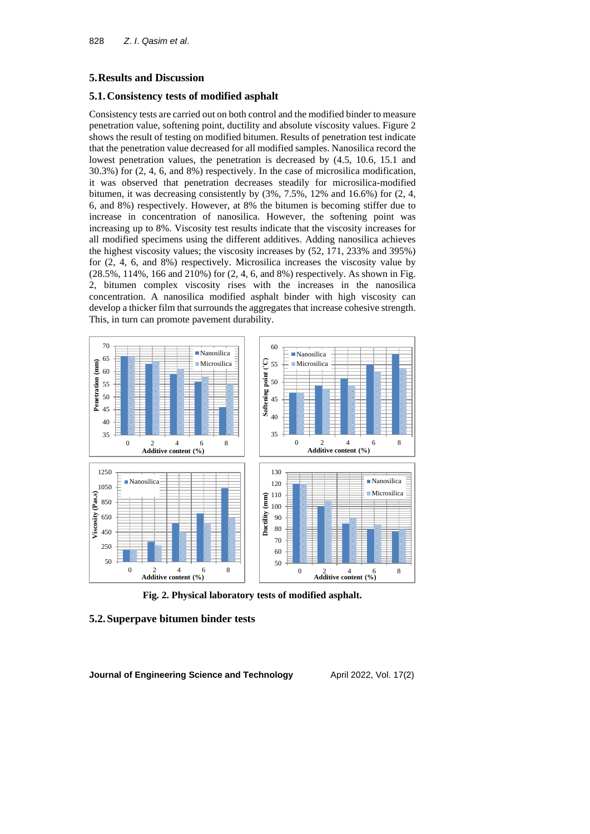# **5.Results and Discussion**

# **5.1.Consistency tests of modified asphalt**

Consistency tests are carried out on both control and the modified binder to measure penetration value, softening point, ductility and absolute viscosity values. Figure 2 shows the result of testing on modified bitumen. Results of penetration test indicate that the penetration value decreased for all modified samples. Nanosilica record the lowest penetration values, the penetration is decreased by (4.5, 10.6, 15.1 and 30.3%) for (2, 4, 6, and 8%) respectively. In the case of microsilica modification, it was observed that penetration decreases steadily for microsilica-modified bitumen, it was decreasing consistently by  $(3\%, 7.5\%, 12\% \text{ and } 16.6\%)$  for  $(2, 4, 4)$ 6, and 8%) respectively. However, at 8% the bitumen is becoming stiffer due to increase in concentration of nanosilica. However, the softening point was increasing up to 8%. Viscosity test results indicate that the viscosity increases for all modified specimens using the different additives. Adding nanosilica achieves the highest viscosity values; the viscosity increases by (52, 171, 233% and 395%) for (2, 4, 6, and 8%) respectively. Microsilica increases the viscosity value by (28.5%, 114%, 166 and 210%) for (2, 4, 6, and 8%) respectively. As shown in Fig. 2, bitumen complex viscosity rises with the increases in the nanosilica concentration. A nanosilica modified asphalt binder with high viscosity can develop a thicker film that surrounds the aggregates that increase cohesive strength. This, in turn can promote pavement durability.



**Fig. 2. Physical laboratory tests of modified asphalt.**

# **5.2.Superpave bitumen binder tests**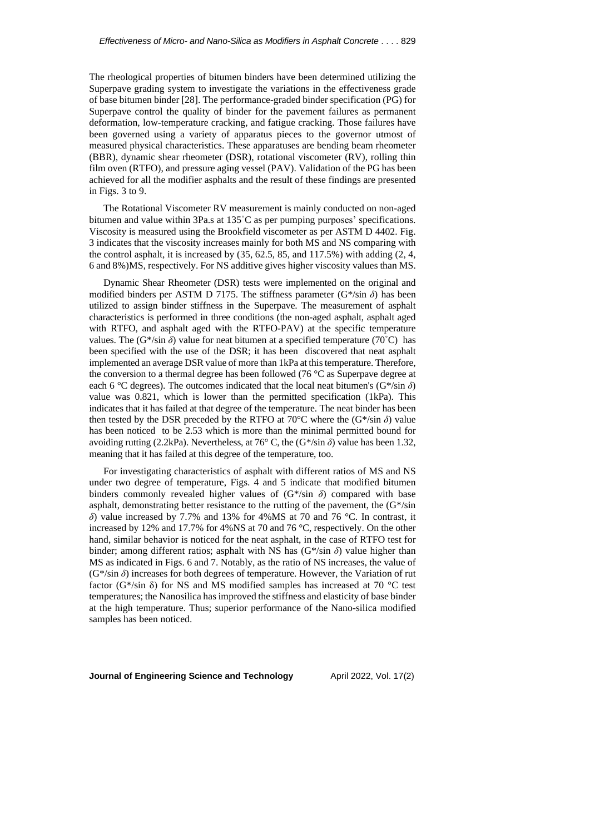The rheological properties of bitumen binders have been determined utilizing the Superpave grading system to investigate the variations in the effectiveness grade of base bitumen binder [28]. The performance-graded binder specification (PG) for Superpave control the quality of binder for the pavement failures as permanent deformation, low-temperature cracking, and fatigue cracking. Those failures have been governed using a variety of apparatus pieces to the governor utmost of measured physical characteristics. These apparatuses are bending beam rheometer (BBR), dynamic shear rheometer (DSR), rotational viscometer (RV), rolling thin film oven (RTFO), and pressure aging vessel (PAV). Validation of the PG has been achieved for all the modifier asphalts and the result of these findings are presented in Figs. 3 to 9.

The Rotational Viscometer RV measurement is mainly conducted on non-aged bitumen and value within 3Pa.s at 135˚C as per pumping purposes' specifications. Viscosity is measured using the Brookfield viscometer as per ASTM D 4402. Fig. 3 indicates that the viscosity increases mainly for both MS and NS comparing with the control asphalt, it is increased by (35, 62.5, 85, and 117.5%) with adding (2, 4, 6 and 8%)MS, respectively. For NS additive gives higher viscosity values than MS.

Dynamic Shear Rheometer (DSR) tests were implemented on the original and modified binders per ASTM D 7175. The stiffness parameter (G\*/sin *δ*) has been utilized to assign binder stiffness in the Superpave. The measurement of asphalt characteristics is performed in three conditions (the non-aged asphalt, asphalt aged with RTFO, and asphalt aged with the RTFO-PAV) at the specific temperature values. The ( $G^*$ /sin  $\delta$ ) value for neat bitumen at a specified temperature ( $70^{\circ}$ C) has been specified with the use of the DSR; it has been discovered that neat asphalt implemented an average DSR value of more than 1kPa at this temperature. Therefore, the conversion to a thermal degree has been followed (76 °C as Superpave degree at each 6 °C degrees). The outcomes indicated that the local neat bitumen's  $(G^* / sin \delta)$ value was 0.821, which is lower than the permitted specification (1kPa). This indicates that it has failed at that degree of the temperature. The neat binder has been then tested by the DSR preceded by the RTFO at 70<sup>o</sup>C where the  $(G^* / \sin \delta)$  value has been noticed to be 2.53 which is more than the minimal permitted bound for avoiding rutting (2.2kPa). Nevertheless, at 76 $\degree$  C, the (G\*/sin  $\delta$ ) value has been 1.32, meaning that it has failed at this degree of the temperature, too.

For investigating characteristics of asphalt with different ratios of MS and NS under two degree of temperature, Figs. 4 and 5 indicate that modified bitumen binders commonly revealed higher values of  $(G^*/sin \delta)$  compared with base asphalt, demonstrating better resistance to the rutting of the pavement, the  $(G^*/sin)$ *δ*) value increased by 7.7% and 13% for 4%MS at 70 and 76 °C. In contrast, it increased by 12% and 17.7% for 4%NS at 70 and 76 °C, respectively. On the other hand, similar behavior is noticed for the neat asphalt, in the case of RTFO test for binder; among different ratios; asphalt with NS has (G\*/sin *δ*) value higher than MS as indicated in Figs. 6 and 7. Notably, as the ratio of NS increases, the value of  $(G<sup>*</sup>/sin  $\delta$ ) increases for both degrees of temperature. However, the Variation of rut$ factor (G\*/sin  $\delta$ ) for NS and MS modified samples has increased at 70 °C test temperatures; the Nanosilica hasimproved the stiffness and elasticity of base binder at the high temperature. Thus; superior performance of the Nano-silica modified samples has been noticed.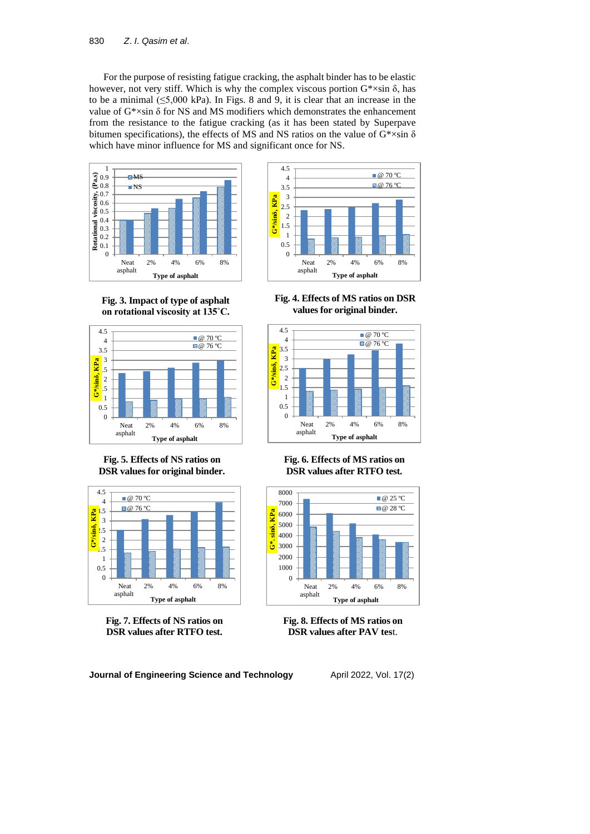For the purpose of resisting fatigue cracking, the asphalt binder has to be elastic however, not very stiff. Which is why the complex viscous portion  $G^* \times \sin \delta$ , has to be a minimal  $(\leq 5,000 \text{ kPa})$ . In Figs. 8 and 9, it is clear that an increase in the value of  $G^* \times \sin \delta$  for NS and MS modifiers which demonstrates the enhancement from the resistance to the fatigue cracking (as it has been stated by Superpave bitumen specifications), the effects of MS and NS ratios on the value of  $G^* \times \sin \delta$ which have minor influence for MS and significant once for NS.





**Fig. 3. Impact of type of asphalt on rotational viscosity at 135˚C.**



**Fig. 5. Effects of NS ratios on DSR values for original binder.**



**Fig. 7. Effects of NS ratios on DSR values after RTFO test.**

**Fig. 4. Effects of MS ratios on DSR values for original binder.**



**Fig. 6. Effects of MS ratios on DSR values after RTFO test.**



**Fig. 8. Effects of MS ratios on DSR values after PAV tes**t.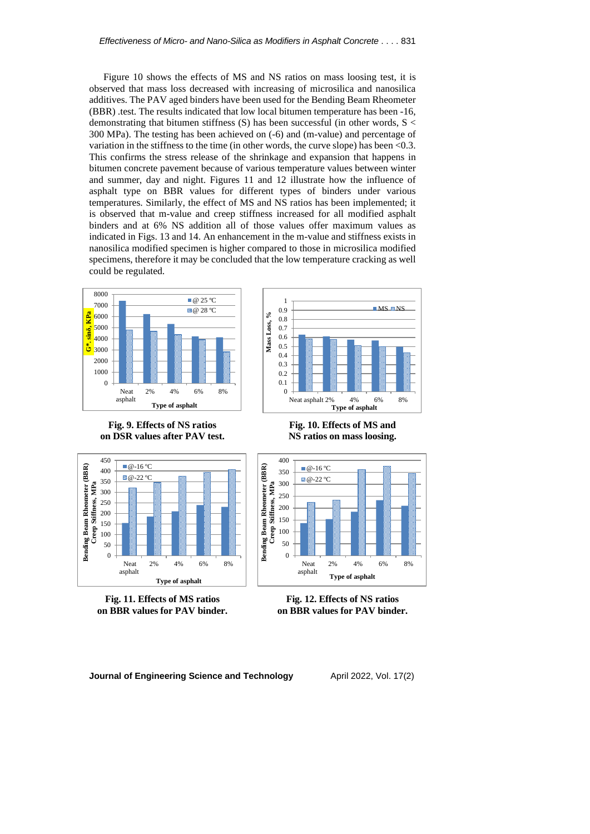Figure 10 shows the effects of MS and NS ratios on mass loosing test, it is observed that mass loss decreased with increasing of microsilica and nanosilica additives. The PAV aged binders have been used for the Bending Beam Rheometer (BBR) .test. The results indicated that low local bitumen temperature has been -16, demonstrating that bitumen stiffness  $(S)$  has been successful (in other words,  $S <$ 300 MPa). The testing has been achieved on (-6) and (m-value) and percentage of variation in the stiffness to the time (in other words, the curve slope) has been <0.3. This confirms the stress release of the shrinkage and expansion that happens in bitumen concrete pavement because of various temperature values between winter and summer, day and night. Figures 11 and 12 illustrate how the influence of asphalt type on BBR values for different types of binders under various temperatures. Similarly, the effect of MS and NS ratios has been implemented; it is observed that m-value and creep stiffness increased for all modified asphalt binders and at 6% NS addition all of those values offer maximum values as indicated in Figs. 13 and 14. An enhancement in the m-value and stiffness exists in nanosilica modified specimen is higher compared to those in microsilica modified specimens, therefore it may be concluded that the low temperature cracking as well could be regulated.

1



**Fig. 9. Effects of NS ratios on DSR values after PAV test.**



**NS ratios on mass loosing.**



**Fig. 11. Effects of MS ratios on BBR values for PAV binder.**



**Fig. 12. Effects of NS ratios on BBR values for PAV binder.**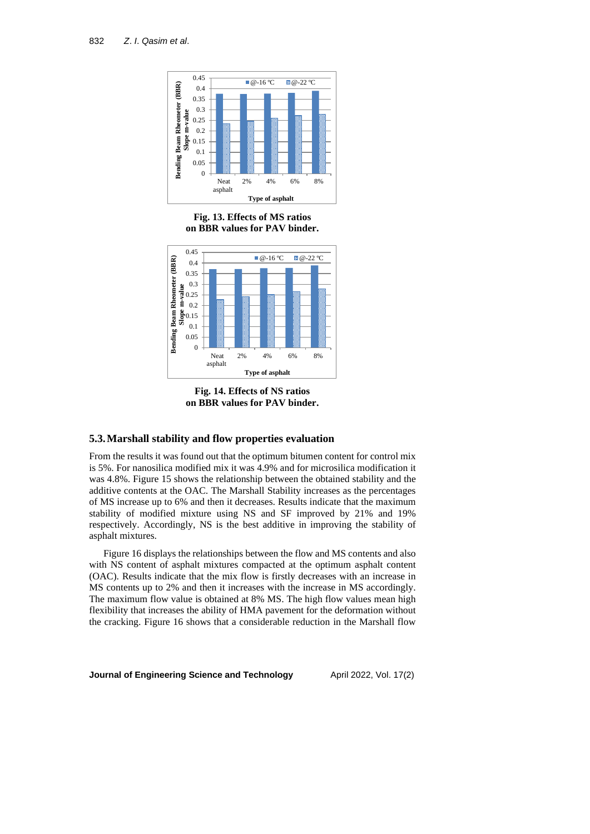

**Fig. 13. Effects of MS ratios on BBR values for PAV binder.**



**Fig. 14. Effects of NS ratios on BBR values for PAV binder.**

### **5.3.Marshall stability and flow properties evaluation**

From the results it was found out that the optimum bitumen content for control mix is 5%. For nanosilica modified mix it was 4.9% and for microsilica modification it was 4.8%. Figure 15 shows the relationship between the obtained stability and the additive contents at the OAC. The Marshall Stability increases as the percentages of MS increase up to 6% and then it decreases. Results indicate that the maximum stability of modified mixture using NS and SF improved by 21% and 19% respectively. Accordingly, NS is the best additive in improving the stability of asphalt mixtures.

Figure 16 displays the relationships between the flow and MS contents and also with NS content of asphalt mixtures compacted at the optimum asphalt content (OAC). Results indicate that the mix flow is firstly decreases with an increase in MS contents up to 2% and then it increases with the increase in MS accordingly. The maximum flow value is obtained at 8% MS. The high flow values mean high flexibility that increases the ability of HMA pavement for the deformation without the cracking. Figure 16 shows that a considerable reduction in the Marshall flow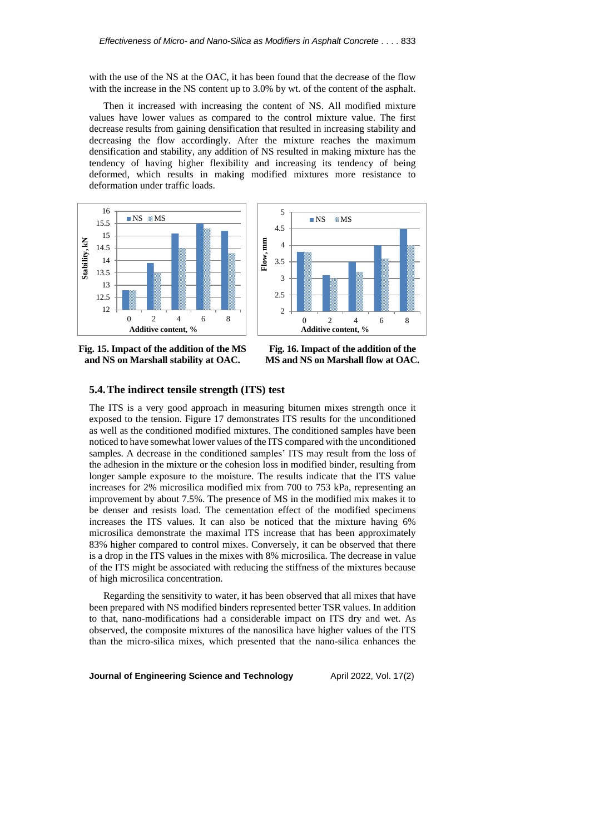with the use of the NS at the OAC, it has been found that the decrease of the flow with the increase in the NS content up to 3.0% by wt. of the content of the asphalt.

Then it increased with increasing the content of NS. All modified mixture values have lower values as compared to the control mixture value. The first decrease results from gaining densification that resulted in increasing stability and decreasing the flow accordingly. After the mixture reaches the maximum densification and stability, any addition of NS resulted in making mixture has the tendency of having higher flexibility and increasing its tendency of being deformed, which results in making modified mixtures more resistance to deformation under traffic loads.





**Fig. 15. Impact of the addition of the MS and NS on Marshall stability at OAC.**

**Fig. 16. Impact of the addition of the MS and NS on Marshall flow at OAC.**

### **5.4.The indirect tensile strength (ITS) test**

The ITS is a very good approach in measuring bitumen mixes strength once it exposed to the tension. Figure 17 demonstrates ITS results for the unconditioned as well as the conditioned modified mixtures. The conditioned samples have been noticed to have somewhat lower values of the ITS compared with the unconditioned samples. A decrease in the conditioned samples' ITS may result from the loss of the adhesion in the mixture or the cohesion loss in modified binder, resulting from longer sample exposure to the moisture. The results indicate that the ITS value increases for 2% microsilica modified mix from 700 to 753 kPa, representing an improvement by about 7.5%. The presence of MS in the modified mix makes it to be denser and resists load. The cementation effect of the modified specimens increases the ITS values. It can also be noticed that the mixture having 6% microsilica demonstrate the maximal ITS increase that has been approximately 83% higher compared to control mixes. Conversely, it can be observed that there is a drop in the ITS values in the mixes with 8% microsilica. The decrease in value of the ITS might be associated with reducing the stiffness of the mixtures because of high microsilica concentration.

Regarding the sensitivity to water, it has been observed that all mixes that have been prepared with NS modified binders represented better TSR values. In addition to that, nano-modifications had a considerable impact on ITS dry and wet. As observed, the composite mixtures of the nanosilica have higher values of the ITS than the micro-silica mixes, which presented that the nano-silica enhances the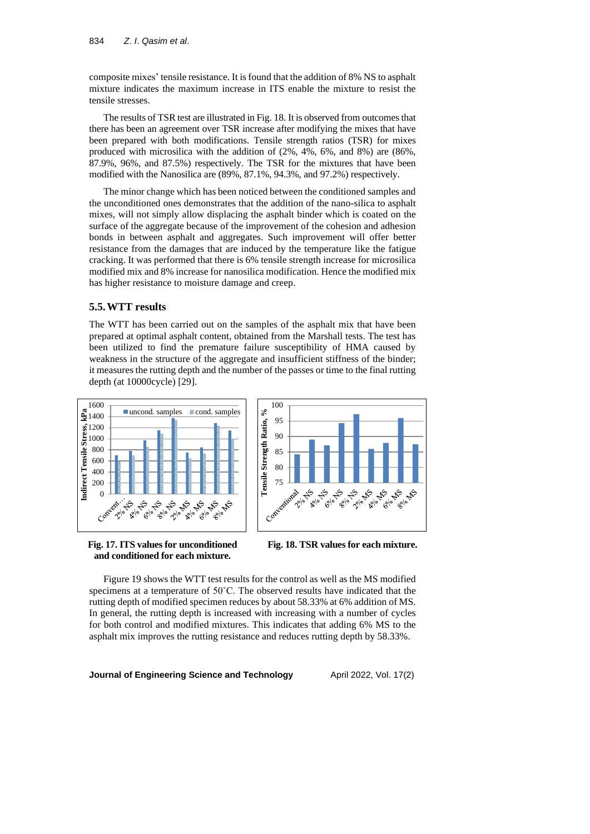composite mixes' tensile resistance. It isfound that the addition of 8% NS to asphalt mixture indicates the maximum increase in ITS enable the mixture to resist the tensile stresses.

The results of TSR test are illustrated in Fig. 18. It is observed from outcomes that there has been an agreement over TSR increase after modifying the mixes that have been prepared with both modifications. Tensile strength ratios (TSR) for mixes produced with microsilica with the addition of (2%, 4%, 6%, and 8%) are (86%, 87.9%, 96%, and 87.5%) respectively. The TSR for the mixtures that have been modified with the Nanosilica are (89%, 87.1%, 94.3%, and 97.2%) respectively.

The minor change which has been noticed between the conditioned samples and the unconditioned ones demonstrates that the addition of the nano-silica to asphalt mixes, will not simply allow displacing the asphalt binder which is coated on the surface of the aggregate because of the improvement of the cohesion and adhesion bonds in between asphalt and aggregates. Such improvement will offer better resistance from the damages that are induced by the temperature like the fatigue cracking. It was performed that there is 6% tensile strength increase for microsilica modified mix and 8% increase for nanosilica modification. Hence the modified mix has higher resistance to moisture damage and creep.

### **5.5.WTT results**

The WTT has been carried out on the samples of the asphalt mix that have been prepared at optimal asphalt content, obtained from the Marshall tests. The test has been utilized to find the premature failure susceptibility of HMA caused by weakness in the structure of the aggregate and insufficient stiffness of the binder; it measures the rutting depth and the number of the passes or time to the final rutting depth (at 10000cycle) [29].





**Fig. 17. ITS values for unconditioned and conditioned for each mixture.**

**Fig. 18. TSR values for each mixture.**

Figure 19 shows the WTT test results for the control as well as the MS modified specimens at a temperature of 50˚C. The observed results have indicated that the rutting depth of modified specimen reduces by about 58.33% at 6% addition of MS. In general, the rutting depth is increased with increasing with a number of cycles for both control and modified mixtures. This indicates that adding 6% MS to the asphalt mix improves the rutting resistance and reduces rutting depth by 58.33%.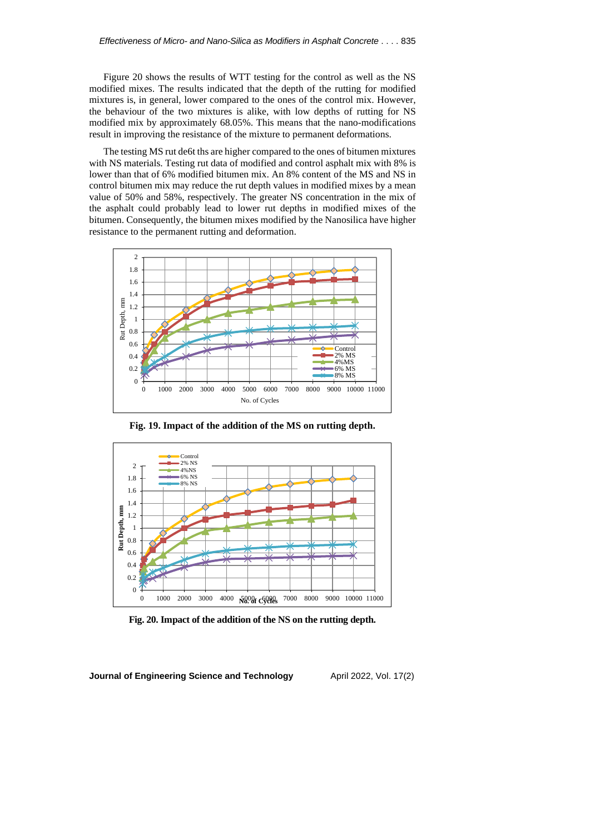Figure 20 shows the results of WTT testing for the control as well as the NS modified mixes. The results indicated that the depth of the rutting for modified mixtures is, in general, lower compared to the ones of the control mix. However, the behaviour of the two mixtures is alike, with low depths of rutting for NS modified mix by approximately 68.05%. This means that the nano-modifications result in improving the resistance of the mixture to permanent deformations.

The testing MS rut de6t ths are higher compared to the ones of bitumen mixtures with NS materials. Testing rut data of modified and control asphalt mix with 8% is lower than that of 6% modified bitumen mix. An 8% content of the MS and NS in control bitumen mix may reduce the rut depth values in modified mixes by a mean value of 50% and 58%, respectively. The greater NS concentration in the mix of the asphalt could probably lead to lower rut depths in modified mixes of the bitumen. Consequently, the bitumen mixes modified by the Nanosilica have higher resistance to the permanent rutting and deformation.



**Fig. 19. Impact of the addition of the MS on rutting depth.**



**Fig. 20. Impact of the addition of the NS on the rutting depth.**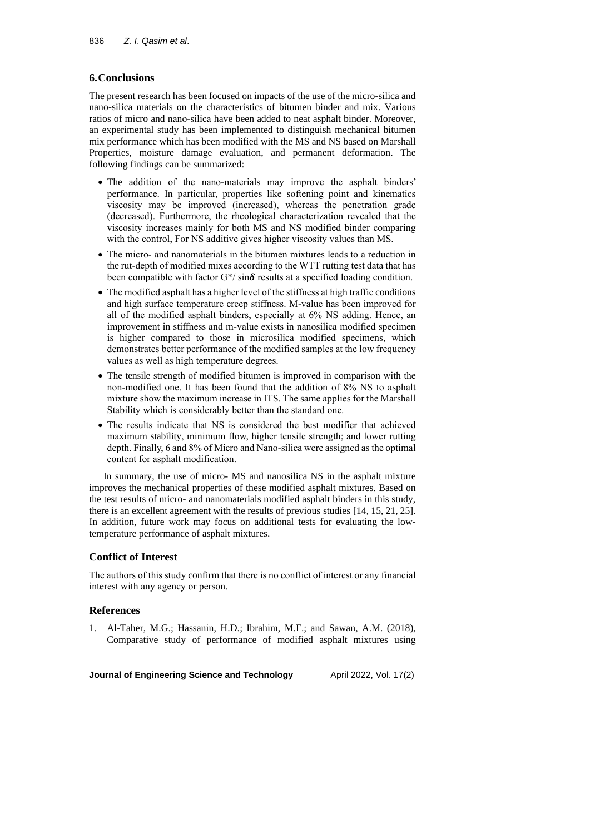# **6.Conclusions**

The present research has been focused on impacts of the use of the micro-silica and nano-silica materials on the characteristics of bitumen binder and mix. Various ratios of micro and nano‐silica have been added to neat asphalt binder. Moreover, an experimental study has been implemented to distinguish mechanical bitumen mix performance which has been modified with the MS and NS based on Marshall Properties, moisture damage evaluation, and permanent deformation. The following findings can be summarized:

- The addition of the nano-materials may improve the asphalt binders' performance. In particular, properties like softening point and kinematics viscosity may be improved (increased), whereas the penetration grade (decreased). Furthermore, the rheological characterization revealed that the viscosity increases mainly for both MS and NS modified binder comparing with the control, For NS additive gives higher viscosity values than MS.
- The micro- and nanomaterials in the bitumen mixtures leads to a reduction in the rut-depth of modified mixes according to the WTT rutting test data that has been compatible with factor  $G^*/ \sin \delta$  results at a specified loading condition.
- The modified asphalt has a higher level of the stiffness at high traffic conditions and high surface temperature creep stiffness. M-value has been improved for all of the modified asphalt binders, especially at 6% NS adding. Hence, an improvement in stiffness and m-value exists in nanosilica modified specimen is higher compared to those in microsilica modified specimens, which demonstrates better performance of the modified samples at the low frequency values as well as high temperature degrees.
- The tensile strength of modified bitumen is improved in comparison with the non-modified one. It has been found that the addition of 8% NS to asphalt mixture show the maximum increase in ITS. The same applies for the Marshall Stability which is considerably better than the standard one.
- The results indicate that NS is considered the best modifier that achieved maximum stability, minimum flow, higher tensile strength; and lower rutting depth. Finally, 6 and 8% of Micro and Nano-silica were assigned as the optimal content for asphalt modification.

In summary, the use of micro- MS and nanosilica NS in the asphalt mixture improves the mechanical properties of these modified asphalt mixtures. Based on the test results of micro- and nanomaterials modified asphalt binders in this study, there is an excellent agreement with the results of previous studies [14, 15, 21, 25]. In addition, future work may focus on additional tests for evaluating the lowtemperature performance of asphalt mixtures.

# **Conflict of Interest**

The authors of this study confirm that there is no conflict of interest or any financial interest with any agency or person.

# **References**

1. Al-Taher, M.G.; Hassanin, H.D.; Ibrahim, M.F.; and Sawan, A.M. (2018), Comparative study of performance of modified asphalt mixtures using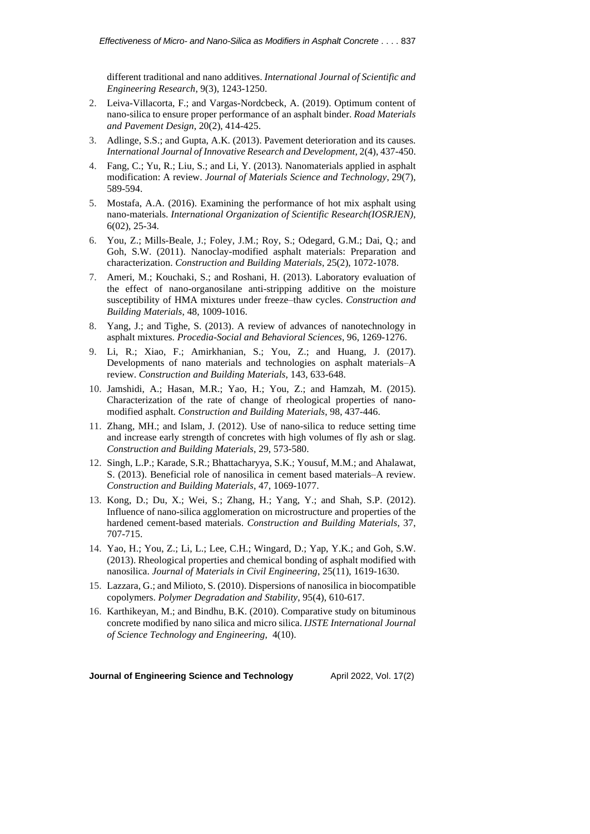different traditional and nano additives. *International Journal of Scientific and Engineering Research*, 9(3), 1243-1250.

- 2. Leiva-Villacorta, F.; and Vargas-Nordcbeck, A. (2019). Optimum content of nano-silica to ensure proper performance of an asphalt binder. *Road Materials and Pavement Design*, 20(2), 414-425.
- 3. Adlinge, S.S.; and Gupta, A.K. (2013). Pavement deterioration and its causes. *International Journal of Innovative Research and Development*, 2(4), 437-450.
- 4. Fang, C.; Yu, R.; Liu, S.; and Li, Y. (2013). Nanomaterials applied in asphalt modification: A review. *Journal of Materials Science and Technology*, 29(7), 589-594.
- 5. Mostafa, A.A. (2016). Examining the performance of hot mix asphalt using nano-materials. *International Organization of Scientific Research(IOSRJEN)*, 6(02), 25-34.
- 6. You, Z.; Mills-Beale, J.; Foley, J.M.; Roy, S.; Odegard, G.M.; Dai, Q.; and Goh, S.W. (2011). Nanoclay-modified asphalt materials: Preparation and characterization. *Construction and Building Materials*, 25(2), 1072-1078.
- 7. Ameri, M.; Kouchaki, S.; and Roshani, H. (2013). Laboratory evaluation of the effect of nano-organosilane anti-stripping additive on the moisture susceptibility of HMA mixtures under freeze–thaw cycles. *Construction and Building Materials*, 48, 1009-1016.
- 8. Yang, J.; and Tighe, S. (2013). A review of advances of nanotechnology in asphalt mixtures. *Procedia-Social and Behavioral Sciences*, 96, 1269-1276.
- 9. Li, R.; Xiao, F.; Amirkhanian, S.; You, Z.; and Huang, J. (2017). Developments of nano materials and technologies on asphalt materials–A review. *Construction and Building Materials*, 143, 633-648.
- 10. Jamshidi, A.; Hasan, M.R.; Yao, H.; You, Z.; and Hamzah, M. (2015). Characterization of the rate of change of rheological properties of nanomodified asphalt. *Construction and Building Materials*, 98, 437-446.
- 11. Zhang, MH.; and Islam, J. (2012). Use of nano-silica to reduce setting time and increase early strength of concretes with high volumes of fly ash or slag. *Construction and Building Materials*, 29, 573-580.
- 12. Singh, L.P.; Karade, S.R.; Bhattacharyya, S.K.; Yousuf, M.M.; and Ahalawat, S. (2013). Beneficial role of nanosilica in cement based materials–A review. *Construction and Building Materials*, 47, 1069-1077.
- 13. Kong, D.; Du, X.; Wei, S.; Zhang, H.; Yang, Y.; and Shah, S.P. (2012). Influence of nano-silica agglomeration on microstructure and properties of the hardened cement-based materials. *Construction and Building Materials*, 37, 707-715.
- 14. Yao, H.; You, Z.; Li, L.; Lee, C.H.; Wingard, D.; Yap, Y.K.; and Goh, S.W. (2013). Rheological properties and chemical bonding of asphalt modified with nanosilica. *Journal of Materials in Civil Engineering*, 25(11), 1619-1630.
- 15. Lazzara, G.; and Milioto, S. (2010). Dispersions of nanosilica in biocompatible copolymers. *Polymer Degradation and Stability*, 95(4), 610-617.
- 16. Karthikeyan, M.; and Bindhu, B.K. (2010). Comparative study on bituminous concrete modified by nano silica and micro silica. *IJSTE International Journal of Science Technology and Engineering*, 4(10).